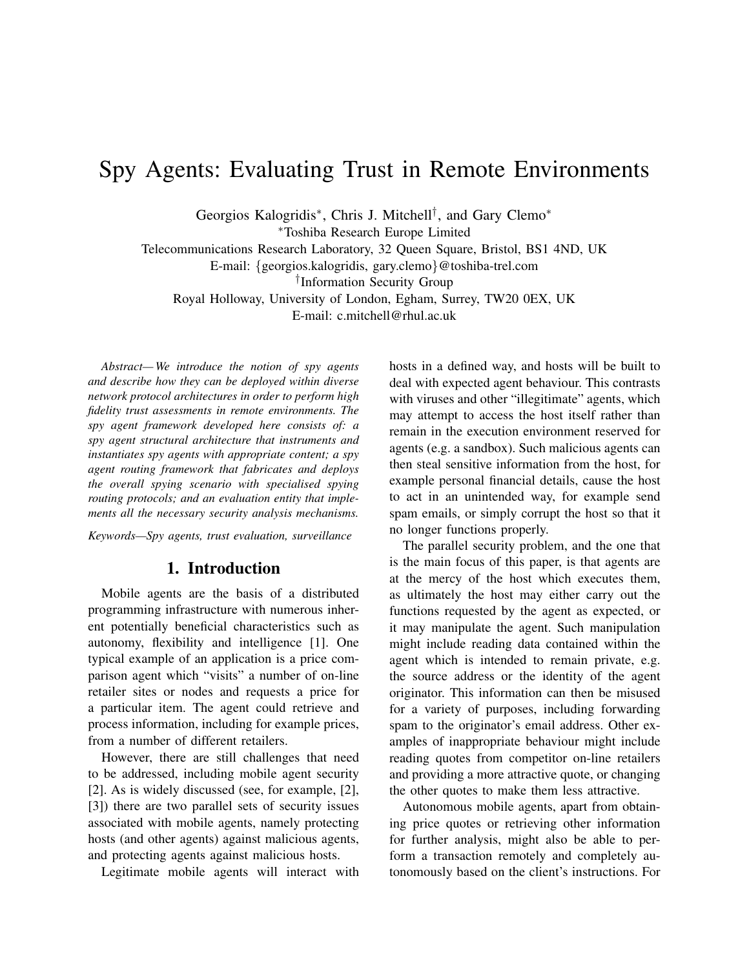# Spy Agents: Evaluating Trust in Remote Environments

Georgios Kalogridis<sup>\*</sup>, Chris J. Mitchell<sup>†</sup>, and Gary Clemo<sup>\*</sup>

<sup>∗</sup>Toshiba Research Europe Limited

Telecommunications Research Laboratory, 32 Queen Square, Bristol, BS1 4ND, UK

E-mail: {georgios.kalogridis, gary.clemo}@toshiba-trel.com

† Information Security Group

Royal Holloway, University of London, Egham, Surrey, TW20 0EX, UK

E-mail: c.mitchell@rhul.ac.uk

*Abstract— We introduce the notion of spy agents and describe how they can be deployed within diverse network protocol architectures in order to perform high fidelity trust assessments in remote environments. The spy agent framework developed here consists of: a spy agent structural architecture that instruments and instantiates spy agents with appropriate content; a spy agent routing framework that fabricates and deploys the overall spying scenario with specialised spying routing protocols; and an evaluation entity that implements all the necessary security analysis mechanisms.*

*Keywords—Spy agents, trust evaluation, surveillance*

## 1. Introduction

Mobile agents are the basis of a distributed programming infrastructure with numerous inherent potentially beneficial characteristics such as autonomy, flexibility and intelligence [1]. One typical example of an application is a price comparison agent which "visits" a number of on-line retailer sites or nodes and requests a price for a particular item. The agent could retrieve and process information, including for example prices, from a number of different retailers.

However, there are still challenges that need to be addressed, including mobile agent security [2]. As is widely discussed (see, for example, [2], [3]) there are two parallel sets of security issues associated with mobile agents, namely protecting hosts (and other agents) against malicious agents, and protecting agents against malicious hosts.

Legitimate mobile agents will interact with

hosts in a defined way, and hosts will be built to deal with expected agent behaviour. This contrasts with viruses and other "illegitimate" agents, which may attempt to access the host itself rather than remain in the execution environment reserved for agents (e.g. a sandbox). Such malicious agents can then steal sensitive information from the host, for example personal financial details, cause the host to act in an unintended way, for example send spam emails, or simply corrupt the host so that it no longer functions properly.

The parallel security problem, and the one that is the main focus of this paper, is that agents are at the mercy of the host which executes them, as ultimately the host may either carry out the functions requested by the agent as expected, or it may manipulate the agent. Such manipulation might include reading data contained within the agent which is intended to remain private, e.g. the source address or the identity of the agent originator. This information can then be misused for a variety of purposes, including forwarding spam to the originator's email address. Other examples of inappropriate behaviour might include reading quotes from competitor on-line retailers and providing a more attractive quote, or changing the other quotes to make them less attractive.

Autonomous mobile agents, apart from obtaining price quotes or retrieving other information for further analysis, might also be able to perform a transaction remotely and completely autonomously based on the client's instructions. For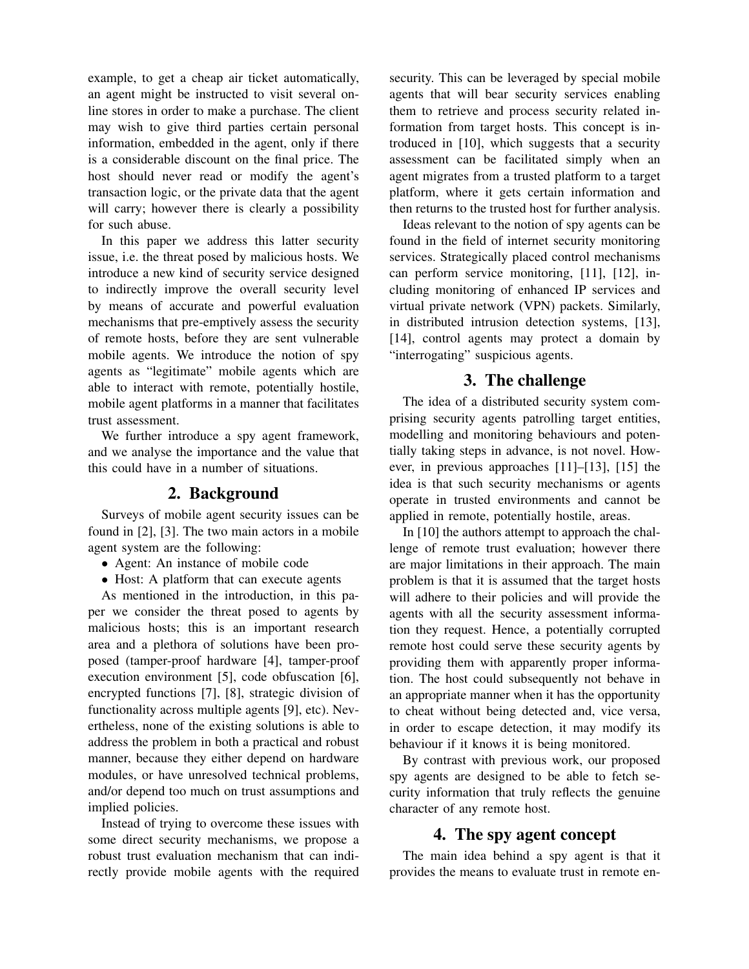example, to get a cheap air ticket automatically, an agent might be instructed to visit several online stores in order to make a purchase. The client may wish to give third parties certain personal information, embedded in the agent, only if there is a considerable discount on the final price. The host should never read or modify the agent's transaction logic, or the private data that the agent will carry; however there is clearly a possibility for such abuse.

In this paper we address this latter security issue, i.e. the threat posed by malicious hosts. We introduce a new kind of security service designed to indirectly improve the overall security level by means of accurate and powerful evaluation mechanisms that pre-emptively assess the security of remote hosts, before they are sent vulnerable mobile agents. We introduce the notion of spy agents as "legitimate" mobile agents which are able to interact with remote, potentially hostile, mobile agent platforms in a manner that facilitates trust assessment.

We further introduce a spy agent framework, and we analyse the importance and the value that this could have in a number of situations.

## 2. Background

Surveys of mobile agent security issues can be found in [2], [3]. The two main actors in a mobile agent system are the following:

- Agent: An instance of mobile code
- Host: A platform that can execute agents

As mentioned in the introduction, in this paper we consider the threat posed to agents by malicious hosts; this is an important research area and a plethora of solutions have been proposed (tamper-proof hardware [4], tamper-proof execution environment [5], code obfuscation [6], encrypted functions [7], [8], strategic division of functionality across multiple agents [9], etc). Nevertheless, none of the existing solutions is able to address the problem in both a practical and robust manner, because they either depend on hardware modules, or have unresolved technical problems, and/or depend too much on trust assumptions and implied policies.

Instead of trying to overcome these issues with some direct security mechanisms, we propose a robust trust evaluation mechanism that can indirectly provide mobile agents with the required

security. This can be leveraged by special mobile agents that will bear security services enabling them to retrieve and process security related information from target hosts. This concept is introduced in [10], which suggests that a security assessment can be facilitated simply when an agent migrates from a trusted platform to a target platform, where it gets certain information and then returns to the trusted host for further analysis.

Ideas relevant to the notion of spy agents can be found in the field of internet security monitoring services. Strategically placed control mechanisms can perform service monitoring, [11], [12], including monitoring of enhanced IP services and virtual private network (VPN) packets. Similarly, in distributed intrusion detection systems, [13], [14], control agents may protect a domain by "interrogating" suspicious agents.

## 3. The challenge

The idea of a distributed security system comprising security agents patrolling target entities, modelling and monitoring behaviours and potentially taking steps in advance, is not novel. However, in previous approaches [11]–[13], [15] the idea is that such security mechanisms or agents operate in trusted environments and cannot be applied in remote, potentially hostile, areas.

In [10] the authors attempt to approach the challenge of remote trust evaluation; however there are major limitations in their approach. The main problem is that it is assumed that the target hosts will adhere to their policies and will provide the agents with all the security assessment information they request. Hence, a potentially corrupted remote host could serve these security agents by providing them with apparently proper information. The host could subsequently not behave in an appropriate manner when it has the opportunity to cheat without being detected and, vice versa, in order to escape detection, it may modify its behaviour if it knows it is being monitored.

By contrast with previous work, our proposed spy agents are designed to be able to fetch security information that truly reflects the genuine character of any remote host.

# 4. The spy agent concept

The main idea behind a spy agent is that it provides the means to evaluate trust in remote en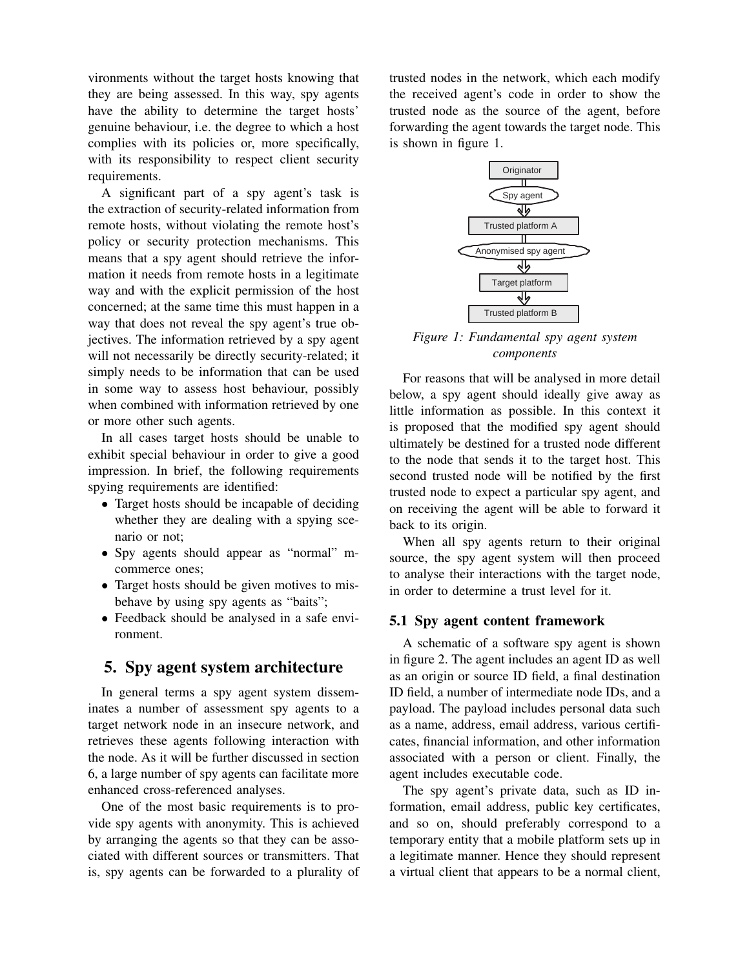vironments without the target hosts knowing that they are being assessed. In this way, spy agents have the ability to determine the target hosts' genuine behaviour, i.e. the degree to which a host complies with its policies or, more specifically, with its responsibility to respect client security requirements.

A significant part of a spy agent's task is the extraction of security-related information from remote hosts, without violating the remote host's policy or security protection mechanisms. This means that a spy agent should retrieve the information it needs from remote hosts in a legitimate way and with the explicit permission of the host concerned; at the same time this must happen in a way that does not reveal the spy agent's true objectives. The information retrieved by a spy agent will not necessarily be directly security-related; it simply needs to be information that can be used in some way to assess host behaviour, possibly when combined with information retrieved by one or more other such agents.

In all cases target hosts should be unable to exhibit special behaviour in order to give a good impression. In brief, the following requirements spying requirements are identified:

- Target hosts should be incapable of deciding whether they are dealing with a spying scenario or not;
- Spy agents should appear as "normal" mcommerce ones;
- Target hosts should be given motives to misbehave by using spy agents as "baits";
- Feedback should be analysed in a safe environment.

## 5. Spy agent system architecture

In general terms a spy agent system disseminates a number of assessment spy agents to a target network node in an insecure network, and retrieves these agents following interaction with the node. As it will be further discussed in section 6, a large number of spy agents can facilitate more enhanced cross-referenced analyses.

One of the most basic requirements is to provide spy agents with anonymity. This is achieved by arranging the agents so that they can be associated with different sources or transmitters. That is, spy agents can be forwarded to a plurality of trusted nodes in the network, which each modify the received agent's code in order to show the trusted node as the source of the agent, before forwarding the agent towards the target node. This is shown in figure 1.



*Figure 1: Fundamental spy agent system components*

For reasons that will be analysed in more detail below, a spy agent should ideally give away as little information as possible. In this context it is proposed that the modified spy agent should ultimately be destined for a trusted node different to the node that sends it to the target host. This second trusted node will be notified by the first trusted node to expect a particular spy agent, and on receiving the agent will be able to forward it back to its origin.

When all spy agents return to their original source, the spy agent system will then proceed to analyse their interactions with the target node, in order to determine a trust level for it.

#### 5.1 Spy agent content framework

A schematic of a software spy agent is shown in figure 2. The agent includes an agent ID as well as an origin or source ID field, a final destination ID field, a number of intermediate node IDs, and a payload. The payload includes personal data such as a name, address, email address, various certificates, financial information, and other information associated with a person or client. Finally, the agent includes executable code.

The spy agent's private data, such as ID information, email address, public key certificates, and so on, should preferably correspond to a temporary entity that a mobile platform sets up in a legitimate manner. Hence they should represent a virtual client that appears to be a normal client,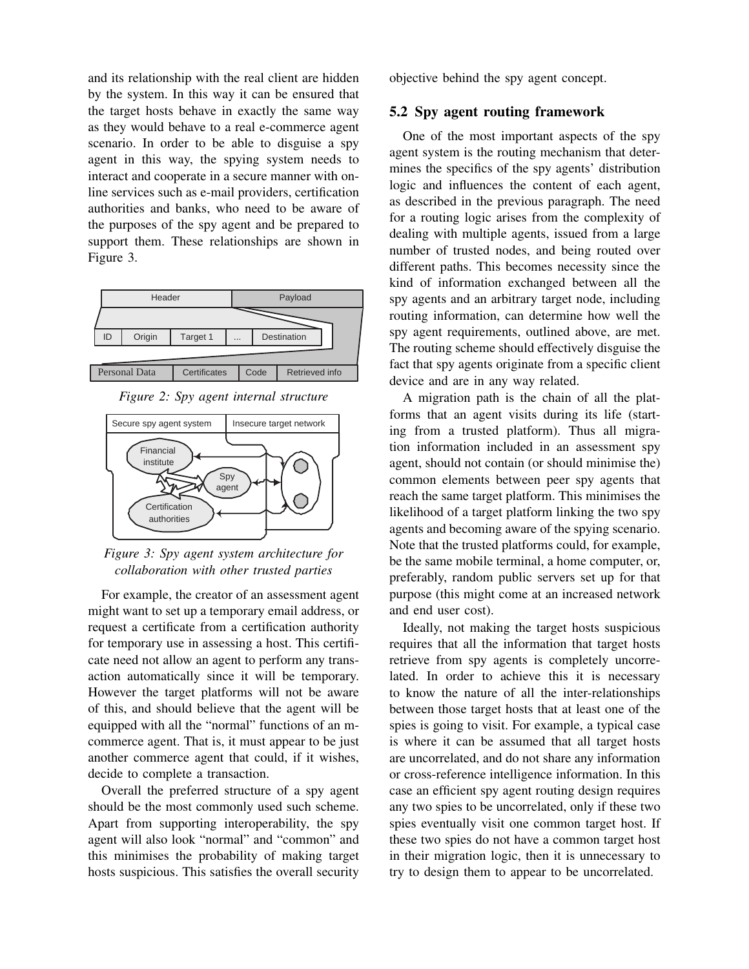and its relationship with the real client are hidden by the system. In this way it can be ensured that the target hosts behave in exactly the same way as they would behave to a real e-commerce agent scenario. In order to be able to disguise a spy agent in this way, the spying system needs to interact and cooperate in a secure manner with online services such as e-mail providers, certification authorities and banks, who need to be aware of the purposes of the spy agent and be prepared to support them. These relationships are shown in Figure 3.



*Figure 2: Spy agent internal structure*



*Figure 3: Spy agent system architecture for collaboration with other trusted parties*

For example, the creator of an assessment agent might want to set up a temporary email address, or request a certificate from a certification authority for temporary use in assessing a host. This certificate need not allow an agent to perform any transaction automatically since it will be temporary. However the target platforms will not be aware of this, and should believe that the agent will be equipped with all the "normal" functions of an mcommerce agent. That is, it must appear to be just another commerce agent that could, if it wishes, decide to complete a transaction.

Overall the preferred structure of a spy agent should be the most commonly used such scheme. Apart from supporting interoperability, the spy agent will also look "normal" and "common" and this minimises the probability of making target hosts suspicious. This satisfies the overall security

objective behind the spy agent concept.

#### 5.2 Spy agent routing framework

One of the most important aspects of the spy agent system is the routing mechanism that determines the specifics of the spy agents' distribution logic and influences the content of each agent, as described in the previous paragraph. The need for a routing logic arises from the complexity of dealing with multiple agents, issued from a large number of trusted nodes, and being routed over different paths. This becomes necessity since the kind of information exchanged between all the spy agents and an arbitrary target node, including routing information, can determine how well the spy agent requirements, outlined above, are met. The routing scheme should effectively disguise the fact that spy agents originate from a specific client device and are in any way related.

A migration path is the chain of all the platforms that an agent visits during its life (starting from a trusted platform). Thus all migration information included in an assessment spy agent, should not contain (or should minimise the) common elements between peer spy agents that reach the same target platform. This minimises the likelihood of a target platform linking the two spy agents and becoming aware of the spying scenario. Note that the trusted platforms could, for example, be the same mobile terminal, a home computer, or, preferably, random public servers set up for that purpose (this might come at an increased network and end user cost).

Ideally, not making the target hosts suspicious requires that all the information that target hosts retrieve from spy agents is completely uncorrelated. In order to achieve this it is necessary to know the nature of all the inter-relationships between those target hosts that at least one of the spies is going to visit. For example, a typical case is where it can be assumed that all target hosts are uncorrelated, and do not share any information or cross-reference intelligence information. In this case an efficient spy agent routing design requires any two spies to be uncorrelated, only if these two spies eventually visit one common target host. If these two spies do not have a common target host in their migration logic, then it is unnecessary to try to design them to appear to be uncorrelated.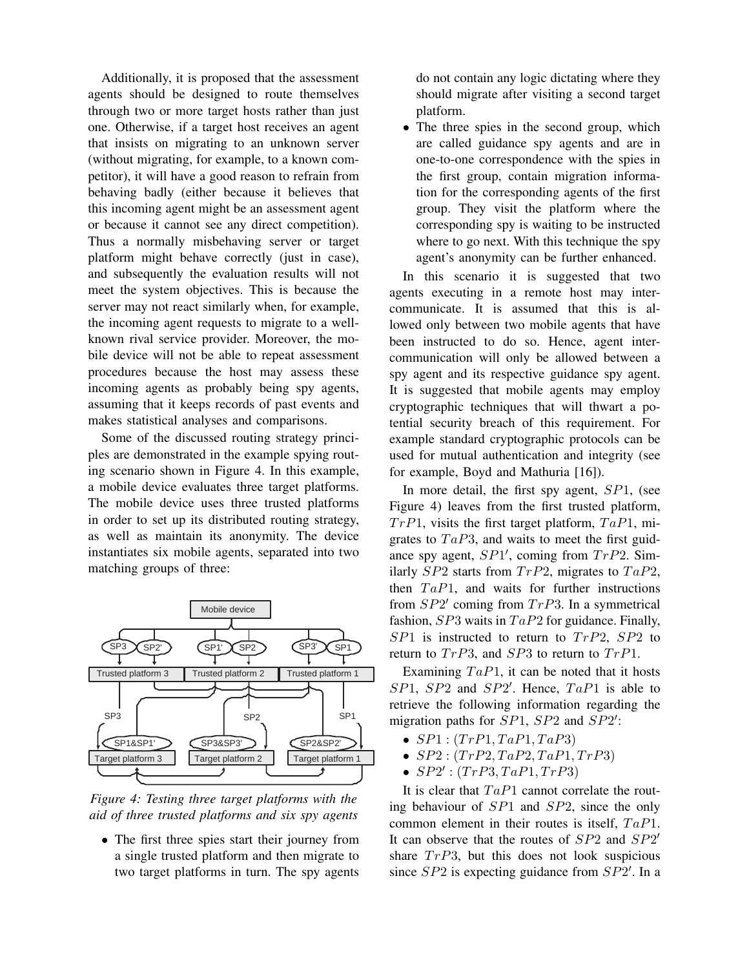Additionally, it is proposed that the assessment agents should be designed to route themselves through two or more target hosts rather than just one. Otherwise, if a target host receives an agent that insists on migrating to an unknown server (without migrating, for example, to a known competitor), it will have a good reason to refrain from behaving badly (either because it believes that this incoming agent might be an assessment agent or because it cannot see any direct competition). Thus a normally misbehaving server or target platform might behave correctly (just in case), and subsequently the evaluation results will not meet the system objectives. This is because the server may not react similarly when, for example, the incoming agent requests to migrate to a wellknown rival service provider. Moreover, the mobile device will not be able to repeat assessment procedures because the host may assess these incoming agents as probably being spy agents, assuming that it keeps records of past events and makes statistical analyses and comparisons.

Some of the discussed routing strategy principles are demonstrated in the example spying routing scenario shown in Figure 4. In this example, a mobile device evaluates three target platforms. The mobile device uses three trusted platforms in order to set up its distributed routing strategy, as well as maintain its anonymity. The device instantiates six mobile agents, separated into two matching groups of three:



*Figure 4: Testing three target platforms with the aid of three trusted platforms and six spy agents*

• The first three spies start their journey from a single trusted platform and then migrate to two target platforms in turn. The spy agents

do not contain any logic dictating where they should migrate after visiting a second target platform.

• The three spies in the second group, which are called guidance spy agents and are in one-to-one correspondence with the spies in the first group, contain migration information for the corresponding agents of the first group. They visit the platform where the corresponding spy is waiting to be instructed where to go next. With this technique the spy agent's anonymity can be further enhanced.

In this scenario it is suggested that two agents executing in a remote host may intercommunicate. It is assumed that this is allowed only between two mobile agents that have been instructed to do so. Hence, agent intercommunication will only be allowed between a spy agent and its respective guidance spy agent. It is suggested that mobile agents may employ cryptographic techniques that will thwart a potential security breach of this requirement. For example standard cryptographic protocols can be used for mutual authentication and integrity (see for example, Boyd and Mathuria [16]).

In more detail, the first spy agent, SP1, (see Figure 4) leaves from the first trusted platform,  $Tr P1$ , visits the first target platform,  $Ta P1$ , migrates to  $TaP3$ , and waits to meet the first guidance spy agent,  $SP1'$ , coming from  $TrP2$ . Similarly  $SP2$  starts from  $TrP2$ , migrates to  $TaP2$ , then  $TaP1$ , and waits for further instructions from  $SP2'$  coming from  $TrP3$ . In a symmetrical fashion,  $SP3$  waits in  $TaP2$  for guidance. Finally,  $SP1$  is instructed to return to  $TrP2$ ,  $SP2$  to return to  $TrP3$ , and  $SP3$  to return to  $TrP1$ .

Examining  $TaP1$ , it can be noted that it hosts  $SP1, SP2$  and  $SP2'$ . Hence,  $TaP1$  is able to retrieve the following information regarding the migration paths for  $SP1$ ,  $SP2$  and  $SP2'$ :

- $SP1: (TrP1, TaP1, TaP3)$
- $SP2: (TrP2, TaP2, TaP1, TrP3)$
- $SP2': (TrP3, TaP1, TrP3)$

It is clear that  $TaP1$  cannot correlate the routing behaviour of SP1 and SP2, since the only common element in their routes is itself,  $TaP1$ . It can observe that the routes of  $SP2$  and  $SP2'$ share  $TrP3$ , but this does not look suspicious since  $SP2$  is expecting guidance from  $SP2'$ . In a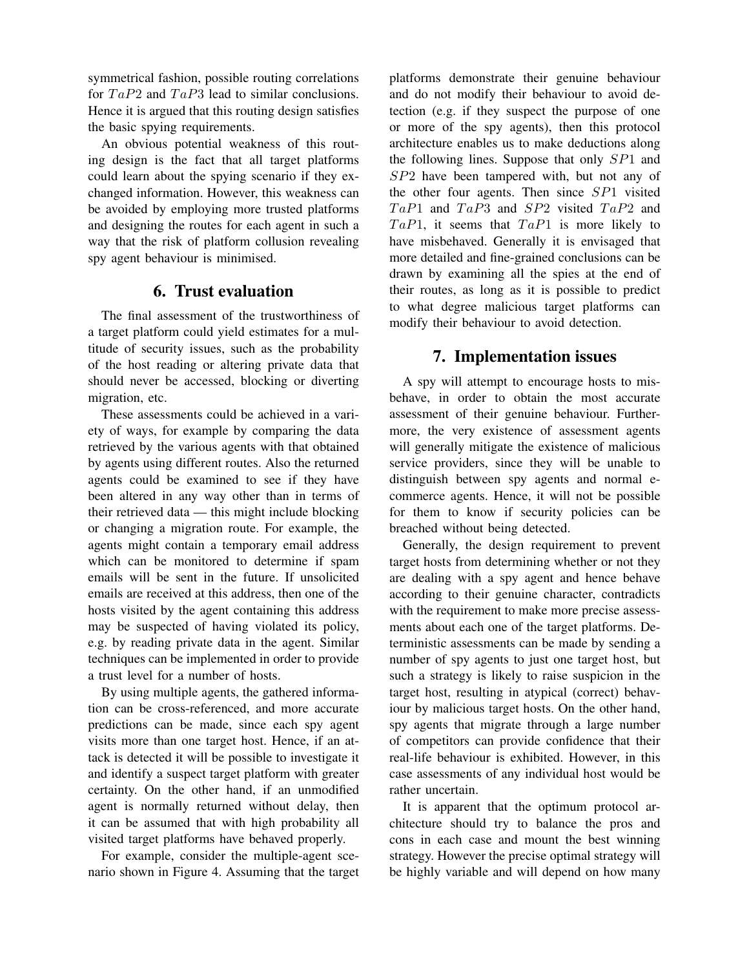symmetrical fashion, possible routing correlations for  $TaP2$  and  $TaP3$  lead to similar conclusions. Hence it is argued that this routing design satisfies the basic spying requirements.

An obvious potential weakness of this routing design is the fact that all target platforms could learn about the spying scenario if they exchanged information. However, this weakness can be avoided by employing more trusted platforms and designing the routes for each agent in such a way that the risk of platform collusion revealing spy agent behaviour is minimised.

## 6. Trust evaluation

The final assessment of the trustworthiness of a target platform could yield estimates for a multitude of security issues, such as the probability of the host reading or altering private data that should never be accessed, blocking or diverting migration, etc.

These assessments could be achieved in a variety of ways, for example by comparing the data retrieved by the various agents with that obtained by agents using different routes. Also the returned agents could be examined to see if they have been altered in any way other than in terms of their retrieved data — this might include blocking or changing a migration route. For example, the agents might contain a temporary email address which can be monitored to determine if spam emails will be sent in the future. If unsolicited emails are received at this address, then one of the hosts visited by the agent containing this address may be suspected of having violated its policy, e.g. by reading private data in the agent. Similar techniques can be implemented in order to provide a trust level for a number of hosts.

By using multiple agents, the gathered information can be cross-referenced, and more accurate predictions can be made, since each spy agent visits more than one target host. Hence, if an attack is detected it will be possible to investigate it and identify a suspect target platform with greater certainty. On the other hand, if an unmodified agent is normally returned without delay, then it can be assumed that with high probability all visited target platforms have behaved properly.

For example, consider the multiple-agent scenario shown in Figure 4. Assuming that the target platforms demonstrate their genuine behaviour and do not modify their behaviour to avoid detection (e.g. if they suspect the purpose of one or more of the spy agents), then this protocol architecture enables us to make deductions along the following lines. Suppose that only SP1 and SP2 have been tampered with, but not any of the other four agents. Then since SP1 visited  $TaP1$  and  $TaP3$  and  $SP2$  visited  $TaP2$  and  $TaP1$ , it seems that  $TaP1$  is more likely to have misbehaved. Generally it is envisaged that more detailed and fine-grained conclusions can be drawn by examining all the spies at the end of their routes, as long as it is possible to predict to what degree malicious target platforms can modify their behaviour to avoid detection.

# 7. Implementation issues

A spy will attempt to encourage hosts to misbehave, in order to obtain the most accurate assessment of their genuine behaviour. Furthermore, the very existence of assessment agents will generally mitigate the existence of malicious service providers, since they will be unable to distinguish between spy agents and normal ecommerce agents. Hence, it will not be possible for them to know if security policies can be breached without being detected.

Generally, the design requirement to prevent target hosts from determining whether or not they are dealing with a spy agent and hence behave according to their genuine character, contradicts with the requirement to make more precise assessments about each one of the target platforms. Deterministic assessments can be made by sending a number of spy agents to just one target host, but such a strategy is likely to raise suspicion in the target host, resulting in atypical (correct) behaviour by malicious target hosts. On the other hand, spy agents that migrate through a large number of competitors can provide confidence that their real-life behaviour is exhibited. However, in this case assessments of any individual host would be rather uncertain.

It is apparent that the optimum protocol architecture should try to balance the pros and cons in each case and mount the best winning strategy. However the precise optimal strategy will be highly variable and will depend on how many